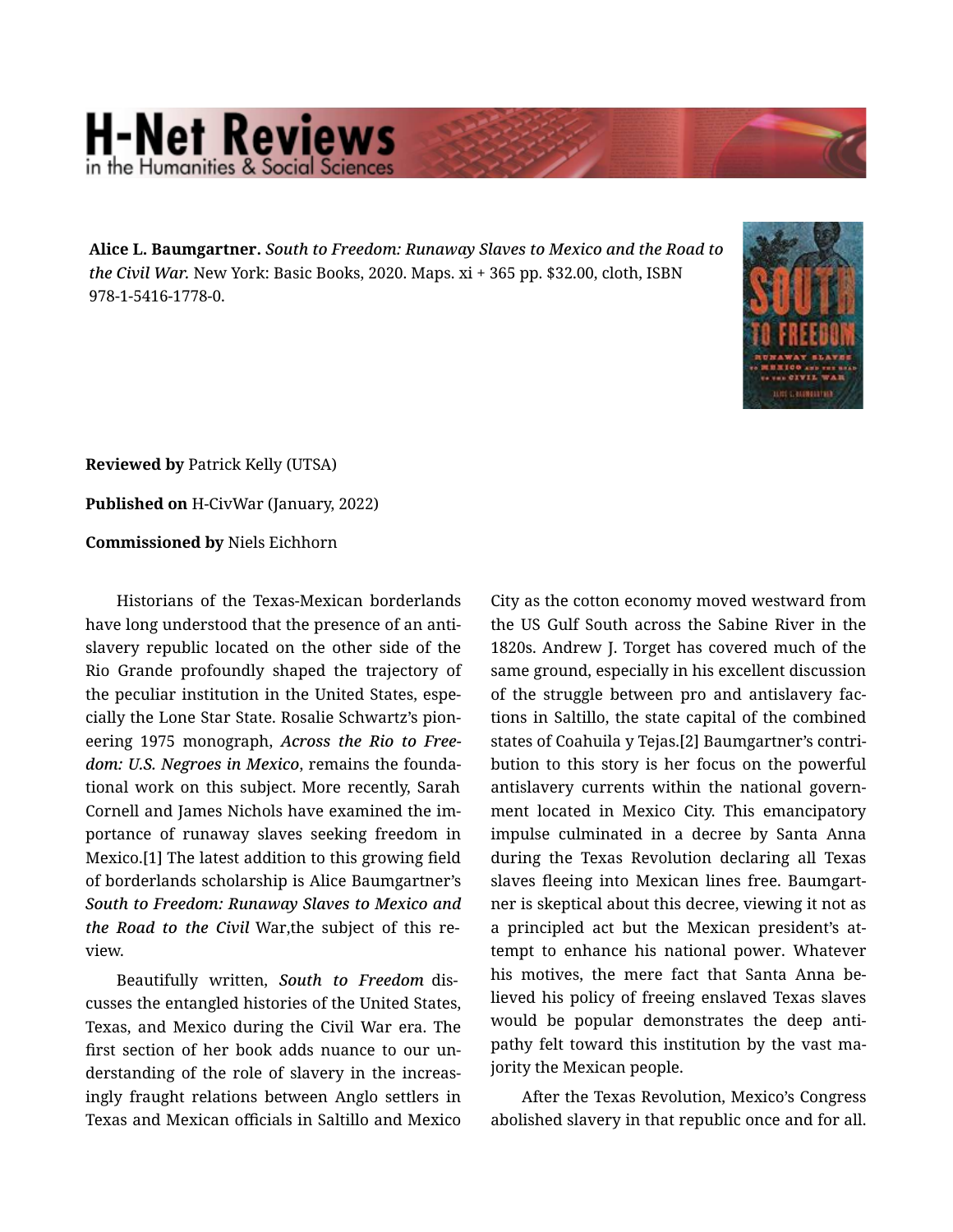## **H-Net Reviews** he Humanities & Social S

Alice L. Baumgartner. *South to Freedom: Runaway Slaves to Mexico and the Road to the Civil War.* New York: Basic Books, 2020. Maps. xi + 365 pp. \$32.00, cloth, ISBN 978-1-5416-1778-0.



Reviewed by Patrick Kelly (UTSA)

Published on H-CivWar (January, 2022)

Commissioned by Niels Eichhorn

Historians of the Texas-Mexican borderlands have long understood that the presence of an anti‐ slavery republic located on the other side of the Rio Grande profoundly shaped the trajectory of the peculiar institution in the United States, espe‐ cially the Lone Star State. Rosalie Schwartz's pion‐ eering 1975 monograph, *Across the Rio to Free‐ dom: U.S. Negroes in Mexico*, remains the founda‐ tional work on this subject. More recently, Sarah Cornell and James Nichols have examined the im‐ portance of runaway slaves seeking freedom in Mexico.[1] The latest addition to this growing field of borderlands scholarship is Alice Baumgartner's *South to Freedom: Runaway Slaves to Mexico and the Road to the Civil* War,the subject of this re‐ view.

Beautifully written, *South to Freedom* dis‐ cusses the entangled histories of the United States, Texas, and Mexico during the Civil War era. The first section of her book adds nuance to our un‐ derstanding of the role of slavery in the increas‐ ingly fraught relations between Anglo settlers in Texas and Mexican officials in Saltillo and Mexico

City as the cotton economy moved westward from the US Gulf South across the Sabine River in the 1820s. Andrew J. Torget has covered much of the same ground, especially in his excellent discussion of the struggle between pro and antislavery fac‐ tions in Saltillo, the state capital of the combined states of Coahuila y Tejas.[2] Baumgartner's contri‐ bution to this story is her focus on the powerful antislavery currents within the national govern‐ ment located in Mexico City. This emancipatory impulse culminated in a decree by Santa Anna during the Texas Revolution declaring all Texas slaves fleeing into Mexican lines free. Baumgart‐ ner is skeptical about this decree, viewing it not as a principled act but the Mexican president's at‐ tempt to enhance his national power. Whatever his motives, the mere fact that Santa Anna be‐ lieved his policy of freeing enslaved Texas slaves would be popular demonstrates the deep antipathy felt toward this institution by the vast ma‐ jority the Mexican people.

After the Texas Revolution, Mexico's Congress abolished slavery in that republic once and for all.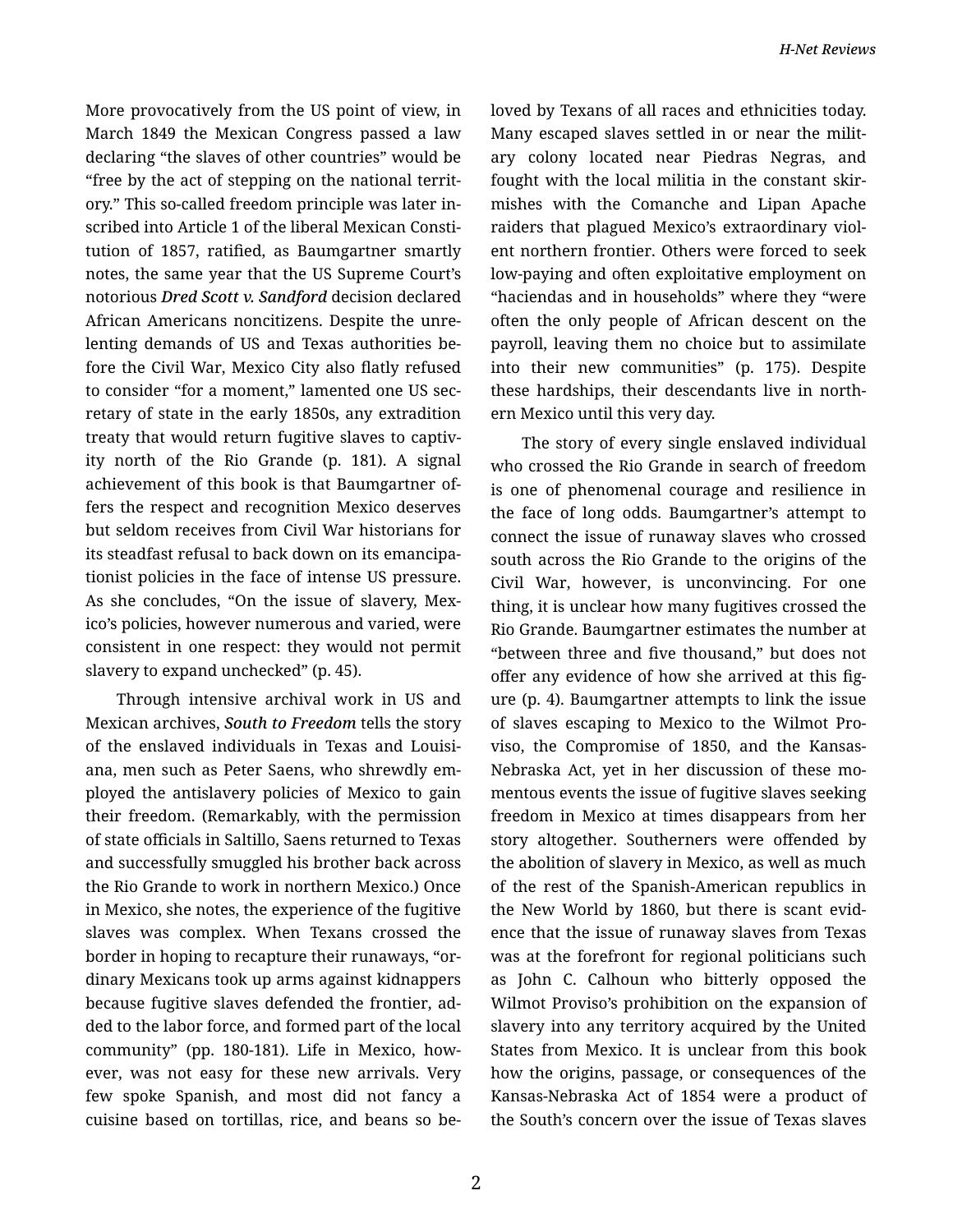More provocatively from the US point of view, in March 1849 the Mexican Congress passed a law declaring "the slaves of other countries" would be "free by the act of stepping on the national territ‐ ory." This so-called freedom principle was later in‐ scribed into Article 1 of the liberal Mexican Consti‐ tution of 1857, ratified, as Baumgartner smartly notes, the same year that the US Supreme Court's notorious *Dred Scott v. Sandford* decision declared African Americans noncitizens. Despite the unre‐ lenting demands of US and Texas authorities be‐ fore the Civil War, Mexico City also flatly refused to consider "for a moment," lamented one US sec‐ retary of state in the early 1850s, any extradition treaty that would return fugitive slaves to captiv‐ ity north of the Rio Grande (p. 181). A signal achievement of this book is that Baumgartner of‐ fers the respect and recognition Mexico deserves but seldom receives from Civil War historians for its steadfast refusal to back down on its emancipa‐ tionist policies in the face of intense US pressure. As she concludes, "On the issue of slavery, Mex‐ ico's policies, however numerous and varied, were consistent in one respect: they would not permit slavery to expand unchecked" (p. 45).

Through intensive archival work in US and Mexican archives, *South to Freedom* tells the story of the enslaved individuals in Texas and Louisi‐ ana, men such as Peter Saens, who shrewdly em‐ ployed the antislavery policies of Mexico to gain their freedom. (Remarkably, with the permission of state officials in Saltillo, Saens returned to Texas and successfully smuggled his brother back across the Rio Grande to work in northern Mexico.) Once in Mexico, she notes, the experience of the fugitive slaves was complex. When Texans crossed the border in hoping to recapture their runaways, "or‐ dinary Mexicans took up arms against kidnappers because fugitive slaves defended the frontier, ad‐ ded to the labor force, and formed part of the local community" (pp. 180-181). Life in Mexico, how‐ ever, was not easy for these new arrivals. Very few spoke Spanish, and most did not fancy a cuisine based on tortillas, rice, and beans so be‐ loved by Texans of all races and ethnicities today. Many escaped slaves settled in or near the milit‐ ary colony located near Piedras Negras, and fought with the local militia in the constant skir‐ mishes with the Comanche and Lipan Apache raiders that plagued Mexico's extraordinary viol‐ ent northern frontier. Others were forced to seek low-paying and often exploitative employment on "haciendas and in households" where they "were often the only people of African descent on the payroll, leaving them no choice but to assimilate into their new communities" (p. 175). Despite these hardships, their descendants live in north‐ ern Mexico until this very day.

The story of every single enslaved individual who crossed the Rio Grande in search of freedom is one of phenomenal courage and resilience in the face of long odds. Baumgartner's attempt to connect the issue of runaway slaves who crossed south across the Rio Grande to the origins of the Civil War, however, is unconvincing. For one thing, it is unclear how many fugitives crossed the Rio Grande. Baumgartner estimates the number at "between three and five thousand," but does not offer any evidence of how she arrived at this fig‐ ure (p. 4). Baumgartner attempts to link the issue of slaves escaping to Mexico to the Wilmot Pro‐ viso, the Compromise of 1850, and the Kansas-Nebraska Act, yet in her discussion of these mo‐ mentous events the issue of fugitive slaves seeking freedom in Mexico at times disappears from her story altogether. Southerners were offended by the abolition of slavery in Mexico, as well as much of the rest of the Spanish-American republics in the New World by 1860, but there is scant evid‐ ence that the issue of runaway slaves from Texas was at the forefront for regional politicians such as John C. Calhoun who bitterly opposed the Wilmot Proviso's prohibition on the expansion of slavery into any territory acquired by the United States from Mexico. It is unclear from this book how the origins, passage, or consequences of the Kansas-Nebraska Act of 1854 were a product of the South's concern over the issue of Texas slaves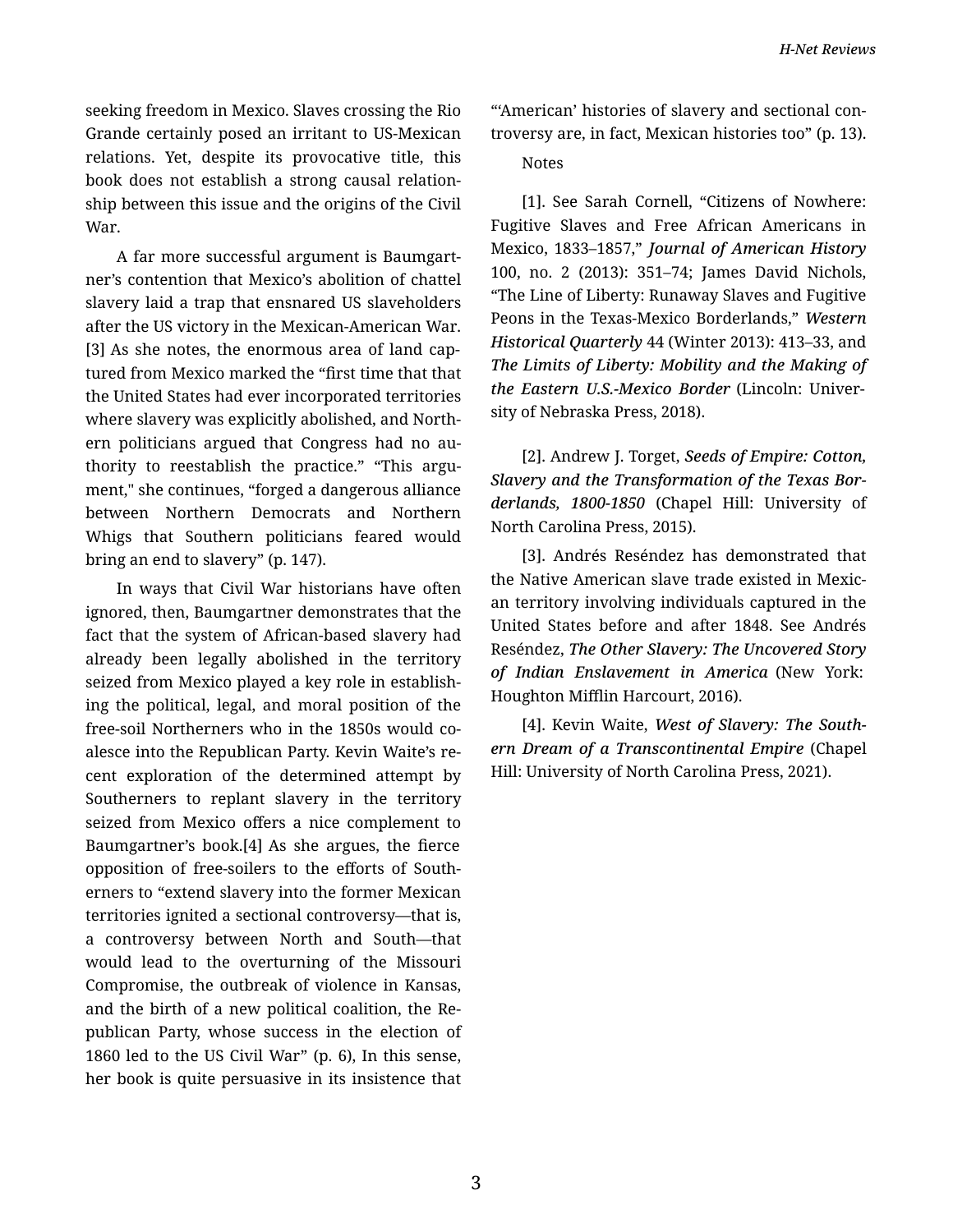seeking freedom in Mexico. Slaves crossing the Rio Grande certainly posed an irritant to US-Mexican relations. Yet, despite its provocative title, this book does not establish a strong causal relation‐ ship between this issue and the origins of the Civil War.

A far more successful argument is Baumgart‐ ner's contention that Mexico's abolition of chattel slavery laid a trap that ensnared US slaveholders after the US victory in the Mexican-American War. [3] As she notes, the enormous area of land captured from Mexico marked the "first time that that the United States had ever incorporated territories where slavery was explicitly abolished, and North‐ ern politicians argued that Congress had no au‐ thority to reestablish the practice." "This argument," she continues, "forged a dangerous alliance between Northern Democrats and Northern Whigs that Southern politicians feared would bring an end to slavery" (p. 147).

In ways that Civil War historians have often ignored, then, Baumgartner demonstrates that the fact that the system of African-based slavery had already been legally abolished in the territory seized from Mexico played a key role in establish‐ ing the political, legal, and moral position of the free-soil Northerners who in the 1850s would co‐ alesce into the Republican Party. Kevin Waite's re‐ cent exploration of the determined attempt by Southerners to replant slavery in the territory seized from Mexico offers a nice complement to Baumgartner's book.[4] As she argues, the fierce opposition of free-soilers to the efforts of South‐ erners to "extend slavery into the former Mexican territories ignited a sectional controversy—that is, a controversy between North and South—that would lead to the overturning of the Missouri Compromise, the outbreak of violence in Kansas, and the birth of a new political coalition, the Re‐ publican Party, whose success in the election of 1860 led to the US Civil War" (p. 6), In this sense, her book is quite persuasive in its insistence that

"'American' histories of slavery and sectional con‐ troversy are, in fact, Mexican histories too" (p. 13).

Notes

[1]. See Sarah Cornell, "Citizens of Nowhere: Fugitive Slaves and Free African Americans in Mexico, 1833–1857," *Journal of American History* 100, no. 2 (2013): 351–74; James David Nichols, "The Line of Liberty: Runaway Slaves and Fugitive Peons in the Texas-Mexico Borderlands," *Western Historical Quarterly* 44 (Winter 2013): 413–33, and *The Limits of Liberty: Mobility and the Making of the Eastern U.S.-Mexico Border* (Lincoln: Univer‐ sity of Nebraska Press, 2018).

[2]. Andrew J. Torget, *Seeds of Empire: Cotton, Slavery and the Transformation of the Texas Bor‐ derlands, 1800-1850* (Chapel Hill: University of North Carolina Press, 2015).

[3]. Andrés Reséndez has demonstrated that the Native American slave trade existed in Mexic‐ an territory involving individuals captured in the United States before and after 1848. See Andrés Reséndez, *The Other Slavery: The Uncovered Story of Indian Enslavement in America* (New York: Houghton Mifflin Harcourt, 2016).

[4]. Kevin Waite, *West of Slavery: The South‐ ern Dream of a Transcontinental Empire* (Chapel Hill: University of North Carolina Press, 2021).